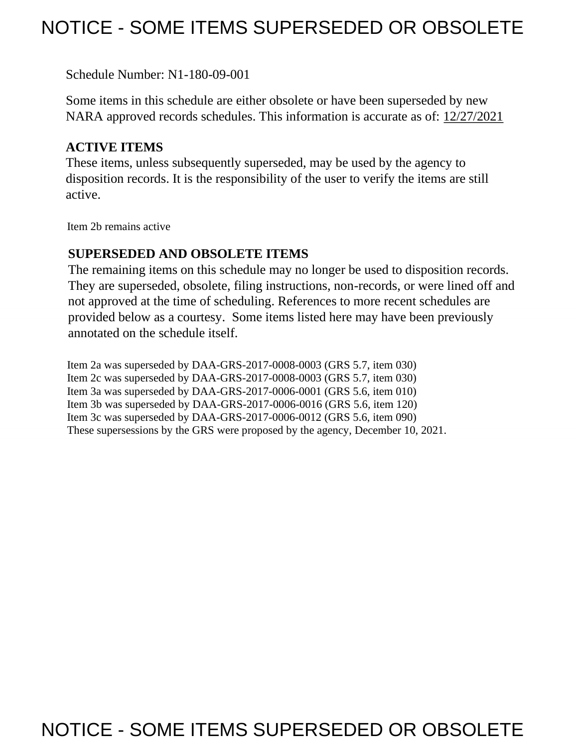## NOTICE - SOME ITEMS SUPERSEDED OR OBSOLETE

Schedule Number: N1-180-09-001

 Some items in this schedule are either obsolete or have been superseded by new NARA approved records schedules. This information is accurate as of: 12/27/2021

## **ACTIVE ITEMS**

 These items, unless subsequently superseded, may be used by the agency to disposition records. It is the responsibility of the user to verify the items are still active.

Item 2b remains active

## **SUPERSEDED AND OBSOLETE ITEMS**

 The remaining items on this schedule may no longer be used to disposition records. not approved at the time of scheduling. References to more recent schedules are provided below as a courtesy. Some items listed here may have been previously They are superseded, obsolete, filing instructions, non-records, or were lined off and annotated on the schedule itself.

Item 2a was superseded by DAA-GRS-2017-0008-0003 (GRS 5.7, item 030) Item 2c was superseded by DAA-GRS-2017-0008-0003 (GRS 5.7, item 030) Item 3a was superseded by DAA-GRS-2017-0006-0001 (GRS 5.6, item 010) Item 3b was superseded by DAA-GRS-2017-0006-0016 (GRS 5.6, item 120) Item 3c was superseded by DAA-GRS-2017-0006-0012 (GRS 5.6, item 090) These supersessions by the GRS were proposed by the agency, December 10, 2021.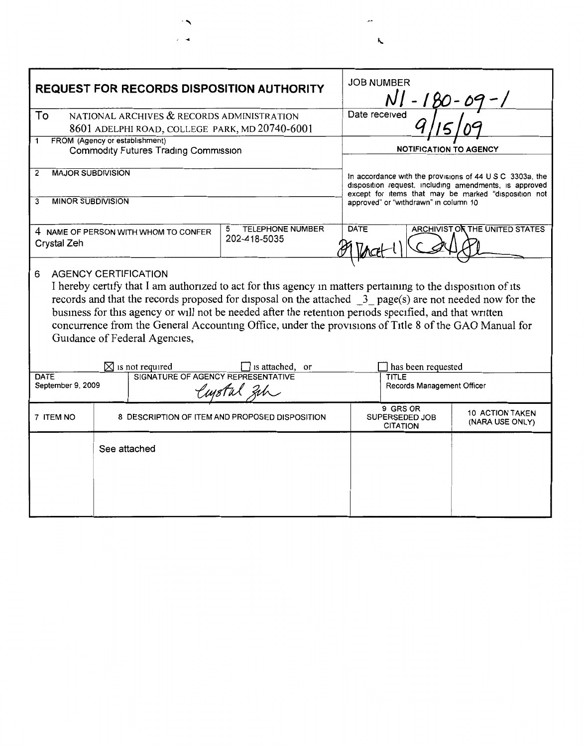| <b>REQUEST FOR RECORDS DISPOSITION AUTHORITY</b>                                                                                                                                                                                                                                                                                                                                                                                                                                                                            |                                                                   | <b>JOB NUMBER</b><br>NI                        |                                                                                                                                                                            |                                           |  |
|-----------------------------------------------------------------------------------------------------------------------------------------------------------------------------------------------------------------------------------------------------------------------------------------------------------------------------------------------------------------------------------------------------------------------------------------------------------------------------------------------------------------------------|-------------------------------------------------------------------|------------------------------------------------|----------------------------------------------------------------------------------------------------------------------------------------------------------------------------|-------------------------------------------|--|
| To<br>NATIONAL ARCHIVES & RECORDS ADMINISTRATION                                                                                                                                                                                                                                                                                                                                                                                                                                                                            |                                                                   |                                                | Date received                                                                                                                                                              |                                           |  |
|                                                                                                                                                                                                                                                                                                                                                                                                                                                                                                                             | 8601 ADELPHI ROAD, COLLEGE PARK, MD 20740-6001                    |                                                |                                                                                                                                                                            |                                           |  |
| FROM (Agency or establishment)<br>1<br><b>Commodity Futures Trading Commission</b>                                                                                                                                                                                                                                                                                                                                                                                                                                          |                                                                   |                                                | <b>NOTIFICATION TO AGENCY</b>                                                                                                                                              |                                           |  |
| <b>MAJOR SUBDIVISION</b><br>2                                                                                                                                                                                                                                                                                                                                                                                                                                                                                               |                                                                   |                                                | In accordance with the provisions of 44 U S C 3303a, the<br>disposition request, including amendments, is approved<br>except for items that may be marked "disposition not |                                           |  |
| <b>MINOR SUBDIVISION</b><br>3                                                                                                                                                                                                                                                                                                                                                                                                                                                                                               |                                                                   |                                                | approved" or "withdrawn" in column 10                                                                                                                                      |                                           |  |
| Crystal Zeh                                                                                                                                                                                                                                                                                                                                                                                                                                                                                                                 | 4 NAME OF PERSON WITH WHOM TO CONFER                              | <b>TELEPHONE NUMBER</b><br>5<br>202-418-5035   | <b>DATE</b>                                                                                                                                                                | ARCHIVIST OF THE UNITED STATES            |  |
| <b>AGENCY CERTIFICATION</b><br>6<br>I hereby certify that I am authorized to act for this agency in matters pertaining to the disposition of its<br>records and that the records proposed for disposal on the attached $\frac{3}{2}$ page(s) are not needed now for the<br>business for this agency or will not be needed after the retention periods specified, and that written<br>concurrence from the General Accounting Office, under the provisions of Title 8 of the GAO Manual for<br>Guidance of Federal Agencies, |                                                                   |                                                |                                                                                                                                                                            |                                           |  |
| DATE                                                                                                                                                                                                                                                                                                                                                                                                                                                                                                                        | $\boxtimes$ is not required<br>SIGNATURE OF AGENCY REPRESENTATIVE | is attached, or                                | has been requested<br>TITLE                                                                                                                                                |                                           |  |
| September 9, 2009                                                                                                                                                                                                                                                                                                                                                                                                                                                                                                           |                                                                   |                                                | Records Management Officer                                                                                                                                                 |                                           |  |
| 7 ITEM NO                                                                                                                                                                                                                                                                                                                                                                                                                                                                                                                   |                                                                   | 8 DESCRIPTION OF ITEM AND PROPOSED DISPOSITION | 9 GRS OR<br>SUPERSEDED JOB<br><b>CITATION</b>                                                                                                                              | <b>10 ACTION TAKEN</b><br>(NARA USE ONLY) |  |
|                                                                                                                                                                                                                                                                                                                                                                                                                                                                                                                             | See attached                                                      |                                                |                                                                                                                                                                            |                                           |  |

 $\overline{\phantom{a}}$ 

 $\bar{k}$ 

◄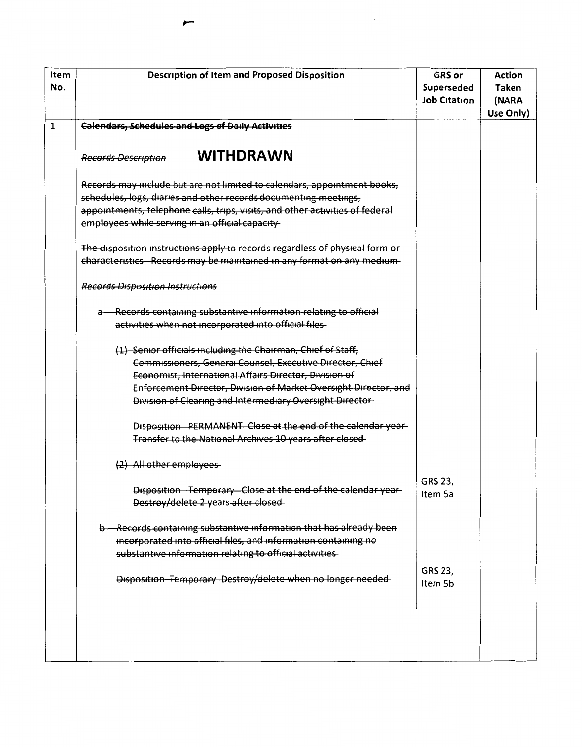| Item<br>No.  | <b>Description of Item and Proposed Disposition</b>                                                                                                                                                                                                                                                                  | <b>GRS</b> or<br>Superseded<br><b>Job Citation</b> | <b>Action</b><br><b>Taken</b><br>(NARA<br>Use Only) |
|--------------|----------------------------------------------------------------------------------------------------------------------------------------------------------------------------------------------------------------------------------------------------------------------------------------------------------------------|----------------------------------------------------|-----------------------------------------------------|
| $\mathbf{1}$ | <b>Calendars, Schedules and Logs of Daily Activities</b>                                                                                                                                                                                                                                                             |                                                    |                                                     |
|              | <b>WITHDRAWN</b><br><b>Records Description</b>                                                                                                                                                                                                                                                                       |                                                    |                                                     |
|              | Records may include but are not limited to calendars, appointment books,<br>schedules, logs, diaries and other records documenting meetings,<br>appointments, telephone calls, trips, visits, and other activities of federal<br>employees while serving in an official capacity-                                    |                                                    |                                                     |
|              | The disposition instructions apply to records regardless of physical form or<br>characteristics Records may be maintained in any format on any medium-                                                                                                                                                               |                                                    |                                                     |
|              | <b>Records Disposition Instructions</b>                                                                                                                                                                                                                                                                              |                                                    |                                                     |
|              | a-Records containing substantive information relating to official<br>activities when not incorporated into official files-                                                                                                                                                                                           |                                                    |                                                     |
|              | (1) Senior officials including the Chairman, Chief of Staff,<br>Commissioners, General Counsel, Executive Director, Chief<br>Economist, International Affairs Director, Division of<br>Enforcement Director, Division of Market Oversight Director, and<br>Division of Clearing and Intermediary Oversight Director- |                                                    |                                                     |
|              | Disposition - PERMANENT Close at the end of the calendar year-<br>Transfer to the National Archives 10 years after closed                                                                                                                                                                                            |                                                    |                                                     |
|              | (2) All other employees                                                                                                                                                                                                                                                                                              |                                                    |                                                     |
|              | Disposition Temporary Close at the end of the calendar year-<br>Destroy/delete 2 years after closed                                                                                                                                                                                                                  | GRS 23,<br>Item 5a                                 |                                                     |
|              | b - Records containing substantive information that has already been<br>incorporated into official files, and information containing no<br>substantive information relating to official activities                                                                                                                   |                                                    |                                                     |
|              | Disposition Temporary Destroy/delete when no longer needed                                                                                                                                                                                                                                                           | GRS 23,<br>Item 5b                                 |                                                     |
|              |                                                                                                                                                                                                                                                                                                                      |                                                    |                                                     |

 $\overline{\phantom{a}}$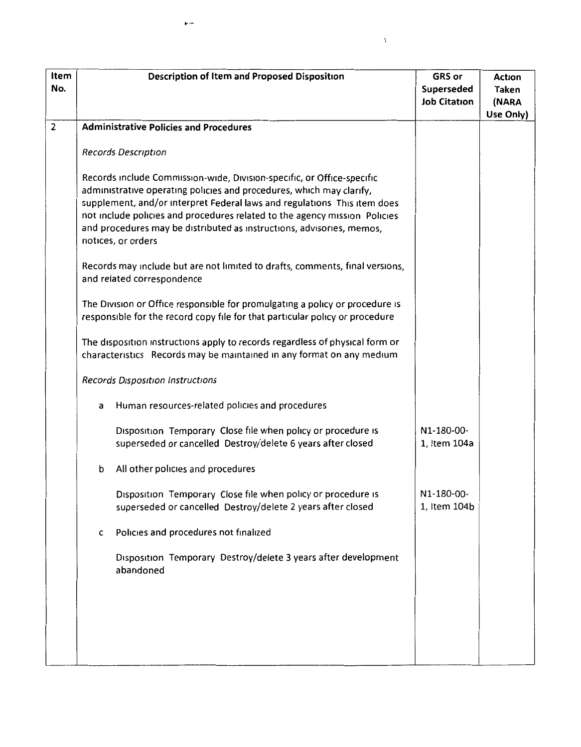| Item<br>No.    | <b>Description of Item and Proposed Disposition</b>                                                                                                                                                                                                                                                                                                                                                     | <b>GRS</b> or<br>Superseded<br><b>Job Citation</b> | Action<br>Taken<br>(NARA<br>Use Only) |
|----------------|---------------------------------------------------------------------------------------------------------------------------------------------------------------------------------------------------------------------------------------------------------------------------------------------------------------------------------------------------------------------------------------------------------|----------------------------------------------------|---------------------------------------|
| $\overline{2}$ | <b>Administrative Policies and Procedures</b>                                                                                                                                                                                                                                                                                                                                                           |                                                    |                                       |
|                | <b>Records Description</b>                                                                                                                                                                                                                                                                                                                                                                              |                                                    |                                       |
|                | Records include Commission-wide, Division-specific, or Office-specific<br>administrative operating policies and procedures, which may clarify,<br>supplement, and/or interpret Federal laws and regulations This item does<br>not include policies and procedures related to the agency mission Policies<br>and procedures may be distributed as instructions, advisories, memos,<br>notices, or orders |                                                    |                                       |
|                | Records may include but are not limited to drafts, comments, final versions,<br>and related correspondence                                                                                                                                                                                                                                                                                              |                                                    |                                       |
|                | The Division or Office responsible for promulgating a policy or procedure is<br>responsible for the record copy file for that particular policy or procedure                                                                                                                                                                                                                                            |                                                    |                                       |
|                | The disposition instructions apply to records regardless of physical form or<br>characteristics Records may be maintained in any format on any medium                                                                                                                                                                                                                                                   |                                                    |                                       |
|                | Records Disposition Instructions                                                                                                                                                                                                                                                                                                                                                                        |                                                    |                                       |
|                | Human resources-related policies and procedures<br>a                                                                                                                                                                                                                                                                                                                                                    |                                                    |                                       |
|                | Disposition Temporary Close file when policy or procedure is<br>superseded or cancelled Destroy/delete 6 years after closed                                                                                                                                                                                                                                                                             | N1-180-00-<br>1, Item 104a                         |                                       |
|                | b<br>All other policies and procedures                                                                                                                                                                                                                                                                                                                                                                  |                                                    |                                       |
|                | Disposition Temporary Close file when policy or procedure is<br>superseded or cancelled Destroy/delete 2 years after closed                                                                                                                                                                                                                                                                             | N1-180-00-<br>1, Item 104b                         |                                       |
|                | Policies and procedures not finalized<br>c                                                                                                                                                                                                                                                                                                                                                              |                                                    |                                       |
|                | Disposition Temporary Destroy/delete 3 years after development<br>abandoned                                                                                                                                                                                                                                                                                                                             |                                                    |                                       |
|                |                                                                                                                                                                                                                                                                                                                                                                                                         |                                                    |                                       |
|                |                                                                                                                                                                                                                                                                                                                                                                                                         |                                                    |                                       |

 $\bar{V}$